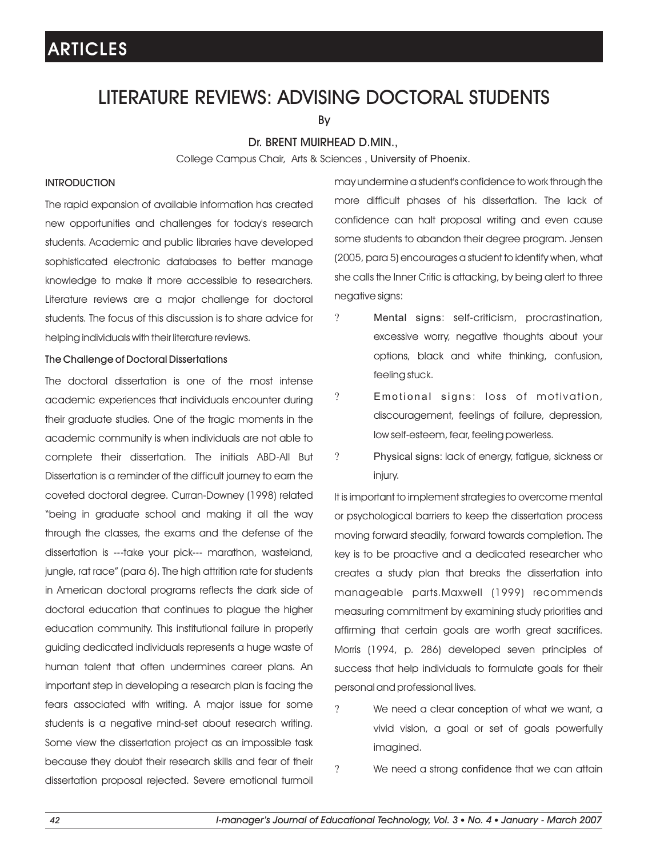### LITERATURE REVIEWS: ADVISING DOCTORAL STUDENTS

By

### Dr. BRENT MUIRHEAD D.MIN.,

College Campus Chair, Arts & Sciences , University of Phoenix.

#### INTRODUCTION

The rapid expansion of available information has created new opportunities and challenges for today's research students. Academic and public libraries have developed sophisticated electronic databases to better manage knowledge to make it more accessible to researchers. Literature reviews are a major challenge for doctoral students. The focus of this discussion is to share advice for helping individuals with their literature reviews.

#### The Challenge of Doctoral Dissertations

The doctoral dissertation is one of the most intense academic experiences that individuals encounter during their graduate studies. One of the tragic moments in the academic community is when individuals are not able to complete their dissertation. The initials ABD-All But Dissertation is a reminder of the difficult journey to earn the coveted doctoral degree. Curran-Downey (1998) related "being in graduate school and making it all the way through the classes, the exams and the defense of the dissertation is ---take your pick--- marathon, wasteland, jungle, rat race" (para 6). The high attrition rate for students in American doctoral programs reflects the dark side of doctoral education that continues to plague the higher education community. This institutional failure in properly guiding dedicated individuals represents a huge waste of human talent that often undermines career plans. An important step in developing a research plan is facing the fears associated with writing. A major issue for some students is a negative mind-set about research writing. Some view the dissertation project as an impossible task because they doubt their research skills and fear of their dissertation proposal rejected. Severe emotional turmoil

may undermine a student's confidence to work through the more difficult phases of his dissertation. The lack of confidence can halt proposal writing and even cause some students to abandon their degree program. Jensen (2005, para 5) encourages a student to identify when, what she calls the Inner Critic is attacking, by being alert to three negative signs:

- Mental signs: self-criticism, procrastination, excessive worry, negative thoughts about your options, black and white thinking, confusion, feeling stuck. ?
- Emotional signs: loss of motivation, discouragement, feelings of failure, depression, low self-esteem, fear, feeling powerless. ?
- Physical signs: lack of energy, fatigue, sickness or injury. ?

It is important to implement strategies to overcome mental or psychological barriers to keep the dissertation process moving forward steadily, forward towards completion. The key is to be proactive and a dedicated researcher who creates a study plan that breaks the dissertation into manageable parts.Maxwell (1999) recommends measuring commitment by examining study priorities and affirming that certain goals are worth great sacrifices. Morris (1994, p. 286) developed seven principles of success that help individuals to formulate goals for their personal and professional lives.

We need a clear conception of what we want, a vivid vision, a goal or set of goals powerfully imagined.  $\gamma$ 

We need a strong confidence that we can attain ?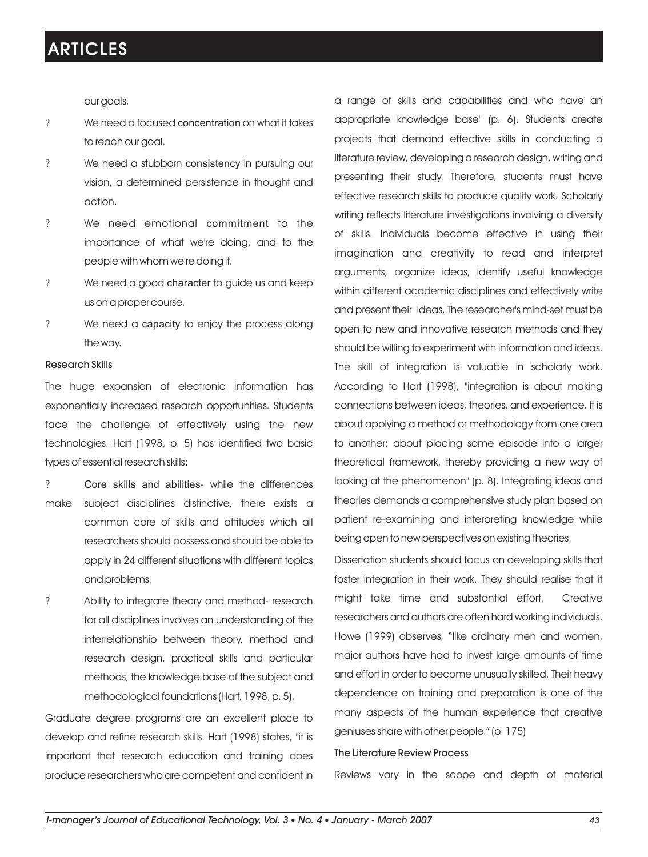our goals.

- We need a focused concentration on what it takes to reach our goal. ?
- We need a stubborn consistency in pursuing our vision, a determined persistence in thought and action. ?
- We need emotional commitment to the importance of what we're doing, and to the people with whom we're doing it. ?
- We need a good character to guide us and keep us on a proper course. ?
- We need a capacity to enjoy the process along the way. ?

#### Research Skills

The huge expansion of electronic information has exponentially increased research opportunities. Students face the challenge of effectively using the new technologies. Hart (1998, p. 5) has identified two basic types of essential research skills:

- Core skills and abilities- while the differences make subject disciplines distinctive, there exists a common core of skills and attitudes which all researchers should possess and should be able to apply in 24 different situations with different topics and problems.  $\gamma$
- Ability to integrate theory and method- research for all disciplines involves an understanding of the interrelationship between theory, method and research design, practical skills and particular methods, the knowledge base of the subject and methodological foundations (Hart, 1998, p. 5). ?

Graduate degree programs are an excellent place to develop and refine research skills. Hart (1998) states, "it is important that research education and training does produce researchers who are competent and confident in

a range of skills and capabilities and who have an appropriate knowledge base" (p. 6). Students create projects that demand effective skills in conducting a literature review, developing a research design, writing and presenting their study. Therefore, students must have effective research skills to produce quality work. Scholarly writing reflects literature investigations involving a diversity of skills. Individuals become effective in using their imagination and creativity to read and interpret arguments, organize ideas, identify useful knowledge within different academic disciplines and effectively write and present their ideas. The researcher's mind-set must be open to new and innovative research methods and they should be willing to experiment with information and ideas. The skill of integration is valuable in scholarly work. According to Hart (1998), "integration is about making connections between ideas, theories, and experience. It is about applying a method or methodology from one area to another; about placing some episode into a larger theoretical framework, thereby providing a new way of looking at the phenomenon" (p. 8). Integrating ideas and theories demands a comprehensive study plan based on patient re-examining and interpreting knowledge while being open to new perspectives on existing theories.

Dissertation students should focus on developing skills that foster integration in their work. They should realise that it might take time and substantial effort. Creative researchers and authors are often hard working individuals. Howe (1999) observes, "like ordinary men and women, major authors have had to invest large amounts of time and effort in order to become unusually skilled. Their heavy dependence on training and preparation is one of the many aspects of the human experience that creative geniuses share with other people." (p. 175)

### The Literature Review Process

Reviews vary in the scope and depth of material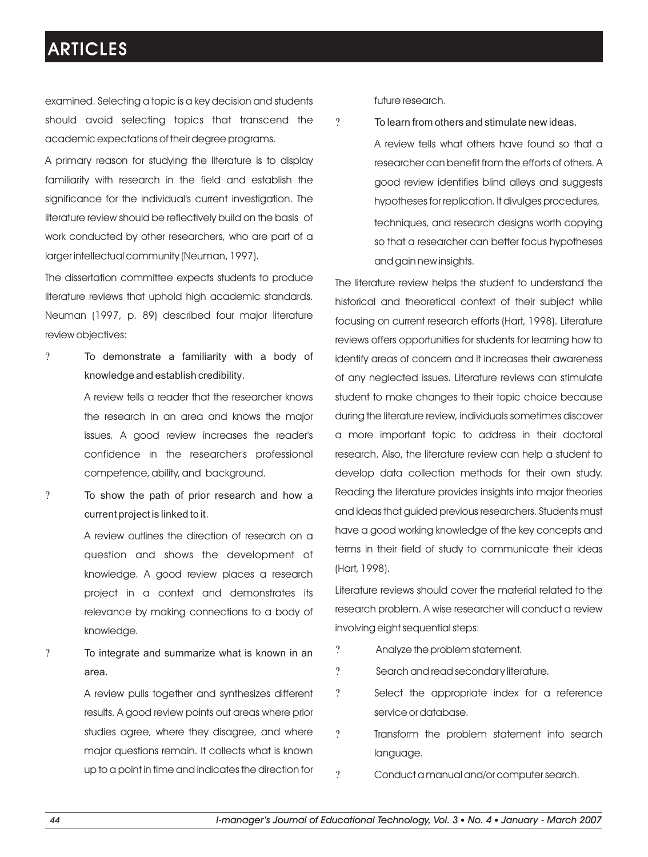examined. Selecting a topic is a key decision and students should avoid selecting topics that transcend the academic expectations of their degree programs.

A primary reason for studying the literature is to display familiarity with research in the field and establish the significance for the individual's current investigation. The literature review should be reflectively build on the basis of work conducted by other researchers, who are part of a larger intellectual community (Neuman, 1997).

The dissertation committee expects students to produce literature reviews that uphold high academic standards. Neuman (1997, p. 89) described four major literature review objectives:

To demonstrate a familiarity with a body of knowledge and establish credibility. ?

> A review tells a reader that the researcher knows the research in an area and knows the major issues. A good review increases the reader's confidence in the researcher's professional competence, ability, and background.

To show the path of prior research and how a current project is linked to it. ?

> A review outlines the direction of research on a question and shows the development of knowledge. A good review places a research project in a context and demonstrates its relevance by making connections to a body of knowledge.

To integrate and summarize what is known in an area. ?

> A review pulls together and synthesizes different results. A good review points out areas where prior studies agree, where they disagree, and where major questions remain. It collects what is known up to a point in time and indicates the direction for

future research.

?

To learn from others and stimulate new ideas.

A review tells what others have found so that a researcher can benefit from the efforts of others. A good review identifies blind alleys and suggests hypotheses for replication. It divulges procedures, techniques, and research designs worth copying so that a researcher can better focus hypotheses and gain new insights.

The literature review helps the student to understand the historical and theoretical context of their subject while focusing on current research efforts (Hart, 1998). Literature reviews offers opportunities for students for learning how to identify areas of concern and it increases their awareness of any neglected issues. Literature reviews can stimulate student to make changes to their topic choice because during the literature review, individuals sometimes discover a more important topic to address in their doctoral research. Also, the literature review can help a student to develop data collection methods for their own study. Reading the literature provides insights into major theories and ideas that guided previous researchers. Students must have a good working knowledge of the key concepts and terms in their field of study to communicate their ideas (Hart, 1998).

Literature reviews should cover the material related to the research problem. A wise researcher will conduct a review involving eight sequential steps:

- Analyze the problem statement. ?
- Search and read secondary literature. ?
- Select the appropriate index for a reference service or database. ?
- Transform the problem statement into search language. ?
- Conduct a manual and/or computer search. ?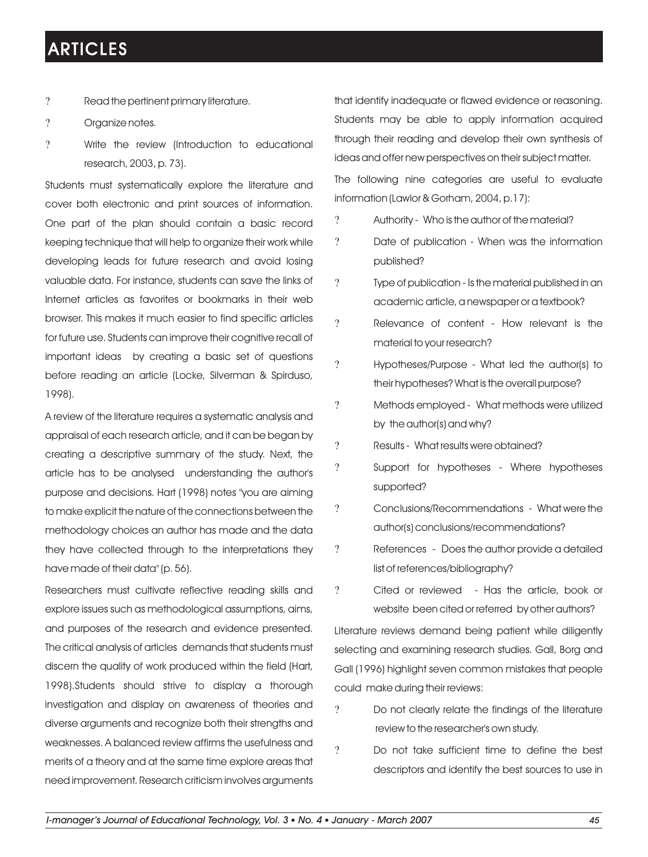- $\gamma$ Read the pertinent primary literature.
- ? Organize notes.
- ? Write the review (Introduction to educational research, 2003, p. 73).

Students must systematically explore the literature and cover both electronic and print sources of information. One part of the plan should contain a basic record keeping technique that will help to organize their work while developing leads for future research and avoid losing valuable data. For instance, students can save the links of Internet articles as favorites or bookmarks in their web browser. This makes it much easier to find specific articles for future use. Students can improve their cognitive recall of important ideas by creating a basic set of questions before reading an article (Locke, Silverman & Spirduso, 1998).

A review of the literature requires a systematic analysis and appraisal of each research article, and it can be began by creating a descriptive summary of the study. Next, the article has to be analysed understanding the author's purpose and decisions. Hart (1998) notes "you are aiming to make explicit the nature of the connections between the methodology choices an author has made and the data they have collected through to the interpretations they have made of their data" (p. 56).

Researchers must cultivate reflective reading skills and explore issues such as methodological assumptions, aims, and purposes of the research and evidence presented. The critical analysis of articles demands that students must discern the quality of work produced within the field (Hart, 1998).Students should strive to display a thorough investigation and display on awareness of theories and diverse arguments and recognize both their strengths and weaknesses. A balanced review affirms the usefulness and merits of a theory and at the same time explore areas that need improvement. Research criticism involves arguments

that identify inadequate or flawed evidence or reasoning. Students may be able to apply information acquired through their reading and develop their own synthesis of ideas and offer new perspectives on their subject matter.

The following nine categories are useful to evaluate information (Lawlor & Gorham, 2004, p.17):

- ? Authority Who is the author of the material?
- ? Date of publication When was the information published?
- ? Iype of publication Is the material published in an academic article, a newspaper or a textbook?
- ? Relevance of content How relevant is the material to your research?
- ? Hypotheses/Purpose What led the author(s) to their hypotheses? What is the overall purpose?
- ? Methods employed What methods were utilized by the author(s) and why?
- ? Results What results were obtained?
- ? Support for hypotheses Where hypotheses supported?
- ? Conclusions/Recommendations What were the author(s) conclusions/recommendations?
- ? References Does the author provide a detailed list of references/bibliography?
- ? Cited or reviewed Has the article, book or website been cited or referred by other authors?

Literature reviews demand being patient while diligently selecting and examining research studies. Gall, Borg and Gall (1996) highlight seven common mistakes that people could make during their reviews:

- Do not clearly relate the findings of the literature review to the researcher's own study. ?
- Do not take sufficient time to define the best descriptors and identify the best sources to use in ?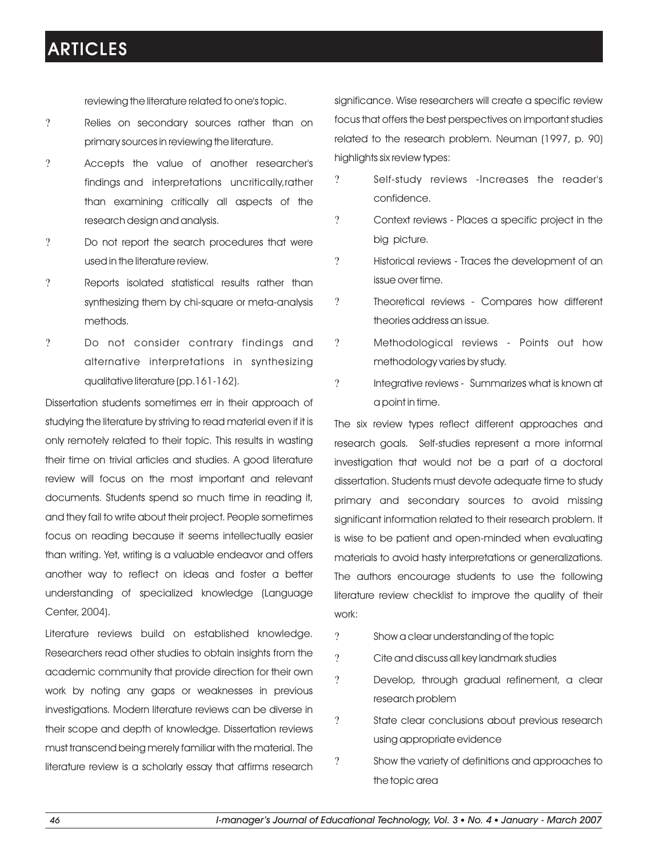reviewing the literature related to one's topic.

- Relies on secondary sources rather than on primary sources in reviewing the literature. ?
- Accepts the value of another researcher's findings and interpretations uncritically,rather than examining critically all aspects of the research design and analysis. ?
- Do not report the search procedures that were used in the literature review. ?
- Reports isolated statistical results rather than synthesizing them by chi-square or meta-analysis methods. ?
- Do not consider contrary findings and alternative interpretations in synthesizing qualitative literature (pp.161-162). ?

Dissertation students sometimes err in their approach of studying the literature by striving to read material even if it is only remotely related to their topic. This results in wasting their time on trivial articles and studies. A good literature review will focus on the most important and relevant documents. Students spend so much time in reading it, and they fail to write about their project. People sometimes focus on reading because it seems intellectually easier than writing. Yet, writing is a valuable endeavor and offers another way to reflect on ideas and foster a better understanding of specialized knowledge (Language Center, 2004).

Literature reviews build on established knowledge. Researchers read other studies to obtain insights from the academic community that provide direction for their own work by noting any gaps or weaknesses in previous investigations. Modern literature reviews can be diverse in their scope and depth of knowledge. Dissertation reviews must transcend being merely familiar with the material. The literature review is a scholarly essay that affirms research

significance. Wise researchers will create a specific review focus that offers the best perspectives on important studies related to the research problem. Neuman (1997, p. 90) highlights six review types:

- ? Self-study reviews -Increases the reader's confidence.
- ? Context reviews Places a specific project in the big picture.
- ? Historical reviews Traces the development of an issue over time.
- ? Ineoretical reviews Compares how different theories address an issue.
- ? Methodological reviews Points out how methodology varies by study.
- ? Integrative reviews Summarizes what is known at a point in time.

The six review types reflect different approaches and research goals. Self-studies represent a more informal investigation that would not be a part of a doctoral dissertation. Students must devote adequate time to study primary and secondary sources to avoid missing significant information related to their research problem. It is wise to be patient and open-minded when evaluating materials to avoid hasty interpretations or generalizations. The authors encourage students to use the following literature review checklist to improve the quality of their work:

- Show a clear understanding of the topic ?
- Cite and discuss all key landmark studies ?
- Develop, through gradual refinement, a clear research problem ?
- State clear conclusions about previous research using appropriate evidence ?
- Show the variety of definitions and approaches to the topic area ?